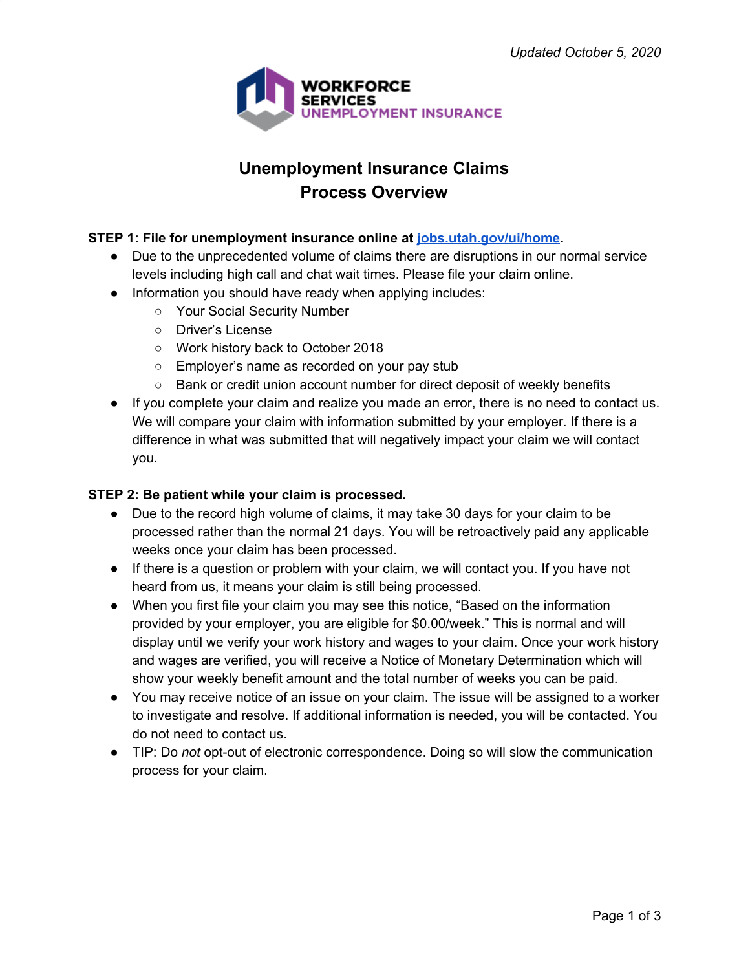

# **Unemployment Insurance Claims Process Overview**

# **STEP 1: File for unemployment insurance online at [jobs.utah.gov/ui/home.](https://jobs.utah.gov/ui/home)**

- **●** Due to the unprecedented volume of claims there are disruptions in our normal service levels including high call and chat wait times. Please file your claim online.
- Information you should have ready when applying includes:
	- Your Social Security Number
	- Driver's License
	- Work history back to October 2018
	- Employer's name as recorded on your pay stub
	- Bank or credit union account number for direct deposit of weekly benefits
- If you complete your claim and realize you made an error, there is no need to contact us. We will compare your claim with information submitted by your employer. If there is a difference in what was submitted that will negatively impact your claim we will contact you.

# **STEP 2: Be patient while your claim is processed.**

- **●** Due to the record high volume of claims, it may take 30 days for your claim to be processed rather than the normal 21 days. You will be retroactively paid any applicable weeks once your claim has been processed.
- **●** If there is a question or problem with your claim, we will contact you. If you have not heard from us, it means your claim is still being processed.
- When you first file your claim you may see this notice, "Based on the information provided by your employer, you are eligible for \$0.00/week." This is normal and will display until we verify your work history and wages to your claim. Once your work history and wages are verified, you will receive a Notice of Monetary Determination which will show your weekly benefit amount and the total number of weeks you can be paid.
- You may receive notice of an issue on your claim. The issue will be assigned to a worker to investigate and resolve. If additional information is needed, you will be contacted. You do not need to contact us.
- TIP: Do *not* opt-out of electronic correspondence. Doing so will slow the communication process for your claim.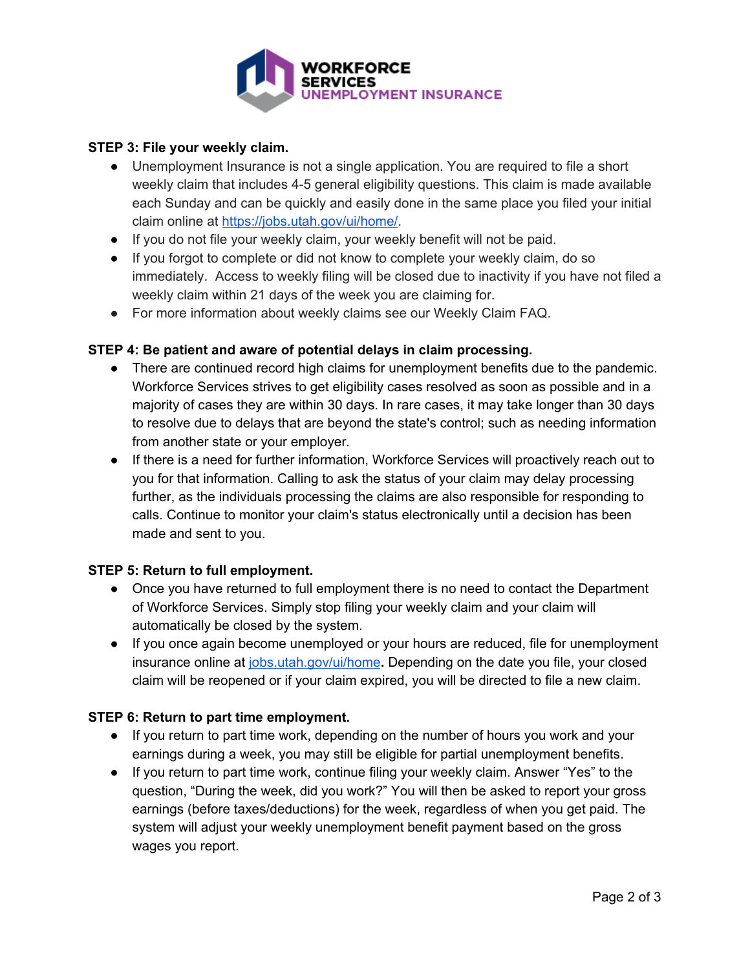

# **STEP 3: File your weekly claim.**

- **●** Unemployment Insurance is not a single application. You are required to file a short weekly claim that includes 4-5 general eligibility questions. This claim is made available each Sunday and can be quickly and easily done in the same place you filed your initial claim online at [https://jobs.utah.gov/ui/home/.](https://jobs.utah.gov/ui/home/)
- **●** If you do not file your weekly claim, your weekly benefit will not be paid.
- **●** If you forgot to complete or did not know to complete your weekly claim, do so immediately. Access to weekly filing will be closed due to inactivity if you have not filed a weekly claim within 21 days of the week you are claiming for.
- For more information about weekly claims see our Weekly Claim FAQ.

# **STEP 4: Be patient and aware of potential delays in claim processing.**

- There are continued record high claims for unemployment benefits due to the pandemic. Workforce Services strives to get eligibility cases resolved as soon as possible and in a majority of cases they are within 30 days. In rare cases, it may take longer than 30 days to resolve due to delays that are beyond the state's control; such as needing information from another state or your employer.
- If there is a need for further information, Workforce Services will proactively reach out to you for that information. Calling to ask the status of your claim may delay processing further, as the individuals processing the claims are also responsible for responding to calls. Continue to monitor your claim's status electronically until a decision has been made and sent to you.

# **STEP 5: Return to full employment.**

- Once you have returned to full employment there is no need to contact the Department of Workforce Services. Simply stop filing your weekly claim and your claim will automatically be closed by the system.
- If you once again become unemployed or your hours are reduced, file for unemployment insurance online at [jobs.utah.gov/ui/home](https://jobs.utah.gov/ui/home)**.** Depending on the date you file, your closed claim will be reopened or if your claim expired, you will be directed to file a new claim.

# **STEP 6: Return to part time employment.**

- If you return to part time work, depending on the number of hours you work and your earnings during a week, you may still be eligible for partial unemployment benefits.
- If you return to part time work, continue filing your weekly claim. Answer "Yes" to the question, "During the week, did you work?" You will then be asked to report your gross earnings (before taxes/deductions) for the week, regardless of when you get paid. The system will adjust your weekly unemployment benefit payment based on the gross wages you report.